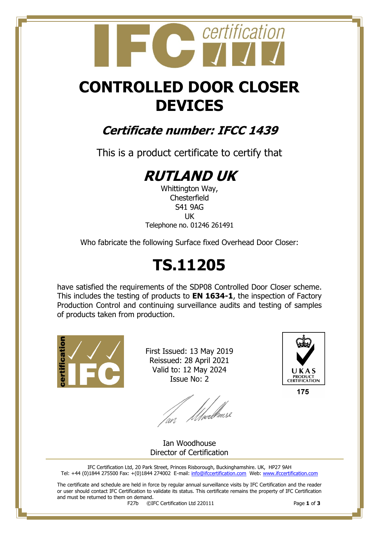## certification

## **CONTROLLED DOOR CLOSER DEVICES**

### **Certificate number: IFCC 1439**

This is a product certificate to certify that

## **RUTLAND UK**

Whittington Way, **Chesterfield** S41 9AG UK Telephone no. 01246 261491

Who fabricate the following Surface fixed Overhead Door Closer:

## **TS.11205**

have satisfied the requirements of the SDP08 Controlled Door Closer scheme. This includes the testing of products to **EN 1634-1**, the inspection of Factory Production Control and continuing surveillance audits and testing of samples of products taken from production.



First Issued: 13 May 2019 Reissued: 28 April 2021 Valid to: 12 May 2024 Issue No: 2

lan Moedhouse



175

Ian Woodhouse Director of Certification

IFC Certification Ltd, 20 Park Street, Princes Risborough, Buckinghamshire. UK, HP27 9AH Tel: +44 (0)1844 275500 Fax: +(0)1844 274002 E-mail[: info@ifccertification.com](mailto:info@ifccertification.com) Web: [www.ifccertification.com](http://www.ifccertification.com/)

The certificate and schedule are held in force by regular annual surveillance visits by IFC Certification and the reader or user should contact IFC Certification to validate its status. This certificate remains the property of IFC Certification and must be returned to them on demand.<br> $F27b$   $\odot$ I

F27b ©IFC Certification Ltd 220111 Page **1** of **3**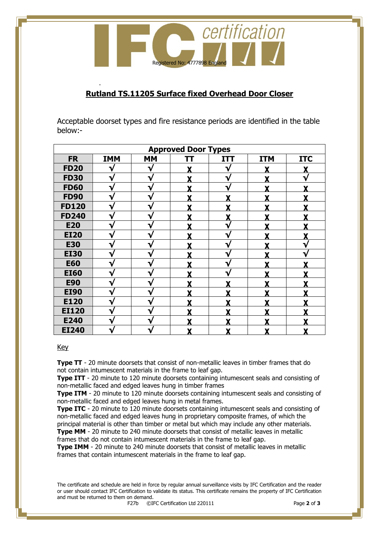

#### **Rutland TS.11205 Surface fixed Overhead Door Closer**

Acceptable doorset types and fire resistance periods are identified in the table below:-

| <b>Approved Door Types</b> |            |           |   |            |            |            |  |  |  |
|----------------------------|------------|-----------|---|------------|------------|------------|--|--|--|
| <b>FR</b>                  | <b>IMM</b> | <b>MM</b> | π | <b>ITT</b> | <b>ITM</b> | <b>ITC</b> |  |  |  |
| <b>FD20</b>                | V          | V         |   | √          | Y          |            |  |  |  |
| <b>FD30</b>                | V          | V         |   | V          | v          |            |  |  |  |
| <b>FD60</b>                | V          | ٦ν        |   | V          |            |            |  |  |  |
| <b>FD90</b>                | V          | ٦         |   | v          | v          |            |  |  |  |
| <b>FD120</b>               | V          | v         | v | v          | v          |            |  |  |  |
| <b>FD240</b>               | V          | ٦         | v | v          | v          |            |  |  |  |
| <b>E20</b>                 | V          |           |   | ٦          | v          |            |  |  |  |
| <b>EI20</b>                |            |           |   | ٦.         | v          |            |  |  |  |
| <b>E30</b>                 | w          |           |   | N          |            |            |  |  |  |
| <b>EI30</b>                | V          | ٦         |   | V          |            |            |  |  |  |
| <b>E60</b>                 | V          | ∿         |   | V          |            |            |  |  |  |
| <b>EI60</b>                | V          | v         |   | V          | v          |            |  |  |  |
| <b>E90</b>                 | V          | ٦         | v | v          | v          |            |  |  |  |
| <b>EI90</b>                | V          | ٦         |   |            | v          |            |  |  |  |
| E120                       | V          |           |   |            | v          |            |  |  |  |
| <b>EI120</b>               |            |           |   |            |            |            |  |  |  |
| E240                       | ٦.         |           |   |            |            |            |  |  |  |
| <b>EI240</b>               | V          |           | Y | X          | X          | χ          |  |  |  |

#### Key

-

**Type TT** - 20 minute doorsets that consist of non-metallic leaves in timber frames that do not contain intumescent materials in the frame to leaf gap.

**Type ITT** - 20 minute to 120 minute doorsets containing intumescent seals and consisting of non-metallic faced and edged leaves hung in timber frames

**Type ITM** - 20 minute to 120 minute doorsets containing intumescent seals and consisting of non-metallic faced and edged leaves hung in metal frames.

**Type ITC** - 20 minute to 120 minute doorsets containing intumescent seals and consisting of non-metallic faced and edged leaves hung in proprietary composite frames, of which the principal material is other than timber or metal but which may include any other materials. **Type MM** - 20 minute to 240 minute doorsets that consist of metallic leaves in metallic

frames that do not contain intumescent materials in the frame to leaf gap.

**Type IMM** - 20 minute to 240 minute doorsets that consist of metallic leaves in metallic frames that contain intumescent materials in the frame to leaf gap.

The certificate and schedule are held in force by regular annual surveillance visits by IFC Certification and the reader or user should contact IFC Certification to validate its status. This certificate remains the property of IFC Certification and must be returned to them on demand.<br> $F27b$   $\odot$ I

F27b ©IFC Certification Ltd 220111 Page **2** of **3**